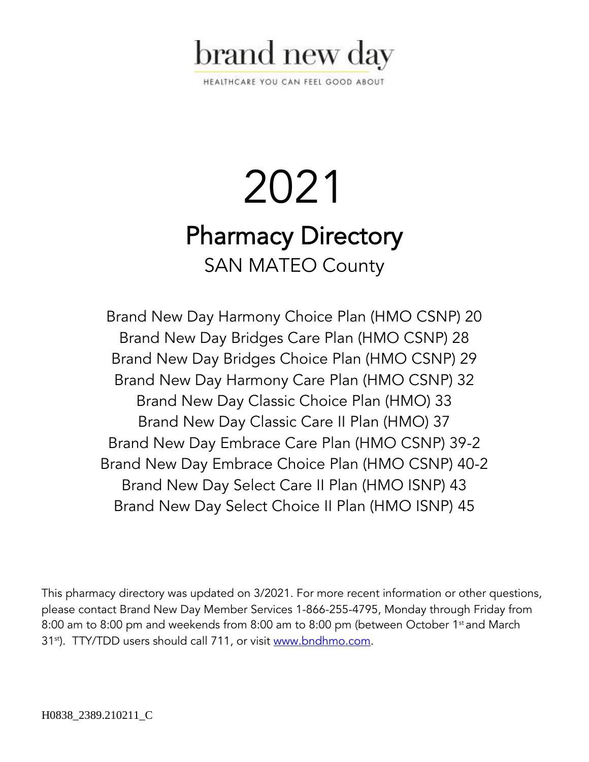

HEALTHCARE YOU CAN FEEL GOOD ABOUT

# 2021 Pharmacy Directory SAN MATEO County

Brand New Day Harmony Choice Plan (HMO CSNP) 20 Brand New Day Bridges Care Plan (HMO CSNP) 28 Brand New Day Bridges Choice Plan (HMO CSNP) 29 Brand New Day Harmony Care Plan (HMO CSNP) 32 Brand New Day Classic Choice Plan (HMO) 33 Brand New Day Classic Care II Plan (HMO) 37 Brand New Day Embrace Care Plan (HMO CSNP) 39-2 Brand New Day Embrace Choice Plan (HMO CSNP) 40-2 Brand New Day Select Care II Plan (HMO ISNP) 43 Brand New Day Select Choice II Plan (HMO ISNP) 45

This pharmacy directory was updated on 3/2021. For more recent information or other questions, please contact Brand New Day Member Services 1-866-255-4795, Monday through Friday from 8:00 am to 8:00 pm and weekends from 8:00 am to 8:00 pm (between October 1<sup>st</sup> and March 31<sup>st</sup>). TTY/TDD users should call 711, or visit [www.bndhmo.com.](http://www.bndhmo.com/)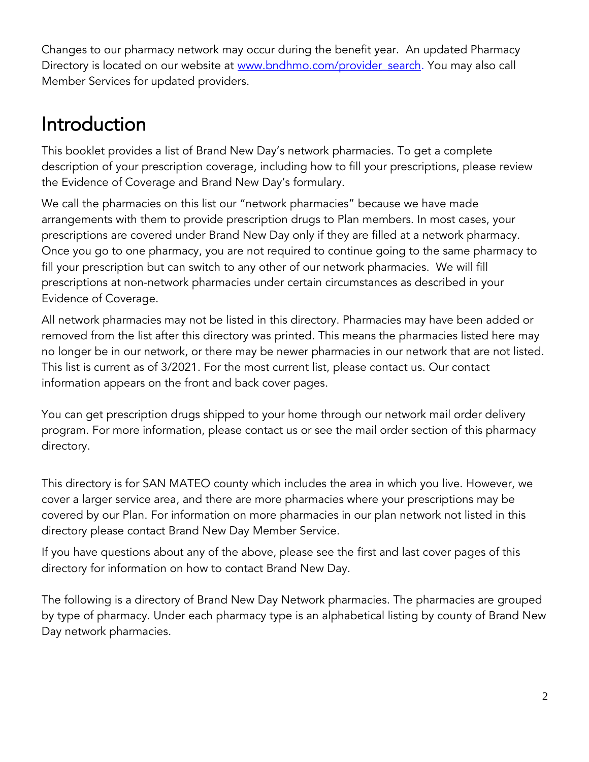Changes to our pharmacy network may occur during the benefit year. An updated Pharmacy Directory is located on our website at www.bndhmo.com/provider search. You may also call Member Services for updated providers.

## Introduction

This booklet provides a list of Brand New Day's network pharmacies. To get a complete description of your prescription coverage, including how to fill your prescriptions, please review the Evidence of Coverage and Brand New Day's formulary.

We call the pharmacies on this list our "network pharmacies" because we have made arrangements with them to provide prescription drugs to Plan members. In most cases, your prescriptions are covered under Brand New Day only if they are filled at a network pharmacy. Once you go to one pharmacy, you are not required to continue going to the same pharmacy to fill your prescription but can switch to any other of our network pharmacies. We will fill prescriptions at non-network pharmacies under certain circumstances as described in your Evidence of Coverage.

All network pharmacies may not be listed in this directory. Pharmacies may have been added or removed from the list after this directory was printed. This means the pharmacies listed here may no longer be in our network, or there may be newer pharmacies in our network that are not listed. This list is current as of 3/2021. For the most current list, please contact us. Our contact information appears on the front and back cover pages.

You can get prescription drugs shipped to your home through our network mail order delivery program. For more information, please contact us or see the mail order section of this pharmacy directory.

This directory is for SAN MATEO county which includes the area in which you live. However, we cover a larger service area, and there are more pharmacies where your prescriptions may be covered by our Plan. For information on more pharmacies in our plan network not listed in this directory please contact Brand New Day Member Service.

If you have questions about any of the above, please see the first and last cover pages of this directory for information on how to contact Brand New Day.

The following is a directory of Brand New Day Network pharmacies. The pharmacies are grouped by type of pharmacy. Under each pharmacy type is an alphabetical listing by county of Brand New Day network pharmacies.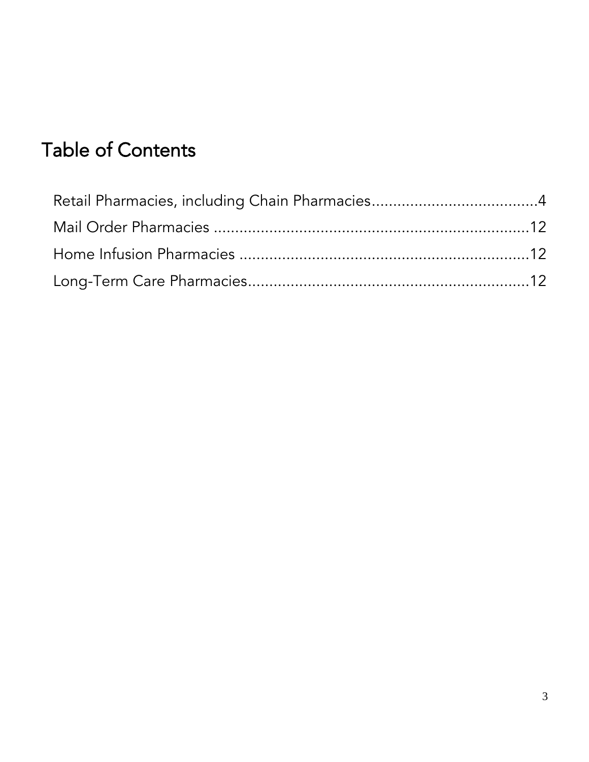## Table of Contents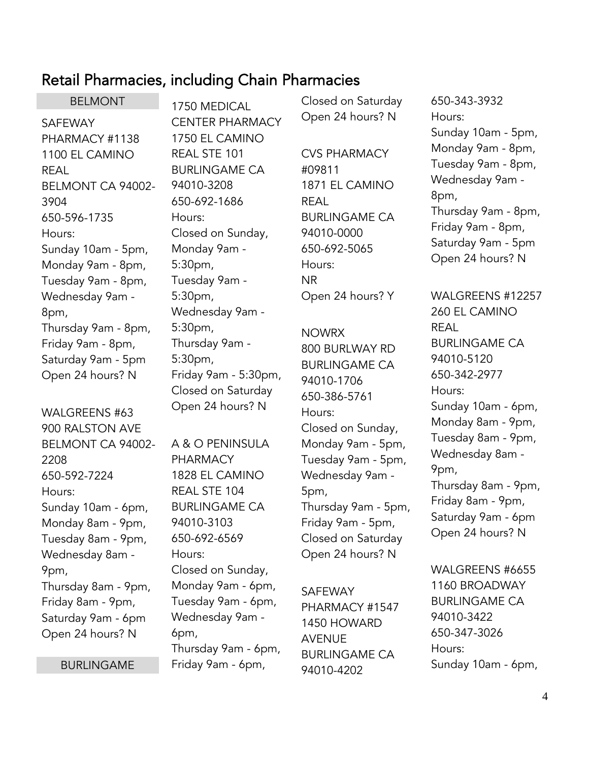### <span id="page-3-0"></span>Retail Pharmacies, including Chain Pharmacies

BELMONT SAFEWAY PHARMACY #1138 1100 EL CAMINO REAL BELMONT CA 94002- 3904 650-596-1735 Hours: Sunday 10am - 5pm, Monday 9am - 8pm, Tuesday 9am - 8pm, Wednesday 9am - 8pm, Thursday 9am - 8pm, Friday 9am - 8pm, Saturday 9am - 5pm Open 24 hours? N

WALGREENS #63 900 RALSTON AVE BELMONT CA 94002- 2208 650-592-7224 Hours: Sunday 10am - 6pm, Monday 8am - 9pm, Tuesday 8am - 9pm, Wednesday 8am - 9pm, Thursday 8am - 9pm, Friday 8am - 9pm, Saturday 9am - 6pm Open 24 hours? N

BURLINGAME

1750 MEDICAL CENTER PHARMACY 1750 EL CAMINO REAL STE 101 BURLINGAME CA 94010-3208 650-692-1686 Hours: Closed on Sunday, Monday 9am - 5:30pm, Tuesday 9am - 5:30pm, Wednesday 9am - 5:30pm, Thursday 9am - 5:30pm, Friday 9am - 5:30pm, Closed on Saturday Open 24 hours? N

A & O PENINSULA PHARMACY 1828 EL CAMINO REAL STE 104 BURLINGAME CA 94010-3103 650-692-6569 Hours: Closed on Sunday, Monday 9am - 6pm, Tuesday 9am - 6pm, Wednesday 9am - 6pm, Thursday 9am - 6pm, Friday 9am - 6pm,

Closed on Saturday Open 24 hours? N

CVS PHARMACY #09811 1871 EL CAMINO REAL BURLINGAME CA 94010-0000 650-692-5065 Hours: NR Open 24 hours? Y

NOWRX 800 BURLWAY RD BURLINGAME CA 94010-1706 650-386-5761 Hours: Closed on Sunday, Monday 9am - 5pm, Tuesday 9am - 5pm, Wednesday 9am - 5pm, Thursday 9am - 5pm, Friday 9am - 5pm, Closed on Saturday Open 24 hours? N

SAFEWAY PHARMACY #1547 1450 HOWARD AVENUE BURLINGAME CA 94010-4202

650-343-3932 Hours: Sunday 10am - 5pm, Monday 9am - 8pm, Tuesday 9am - 8pm, Wednesday 9am - 8pm, Thursday 9am - 8pm, Friday 9am - 8pm, Saturday 9am - 5pm Open 24 hours? N

WALGREENS #12257 260 EL CAMINO REAL BURLINGAME CA 94010-5120 650-342-2977 Hours: Sunday 10am - 6pm, Monday 8am - 9pm, Tuesday 8am - 9pm, Wednesday 8am - 9pm, Thursday 8am - 9pm, Friday 8am - 9pm, Saturday 9am - 6pm Open 24 hours? N

WALGREENS #6655 1160 BROADWAY BURLINGAME CA 94010-3422 650-347-3026 Hours: Sunday 10am - 6pm,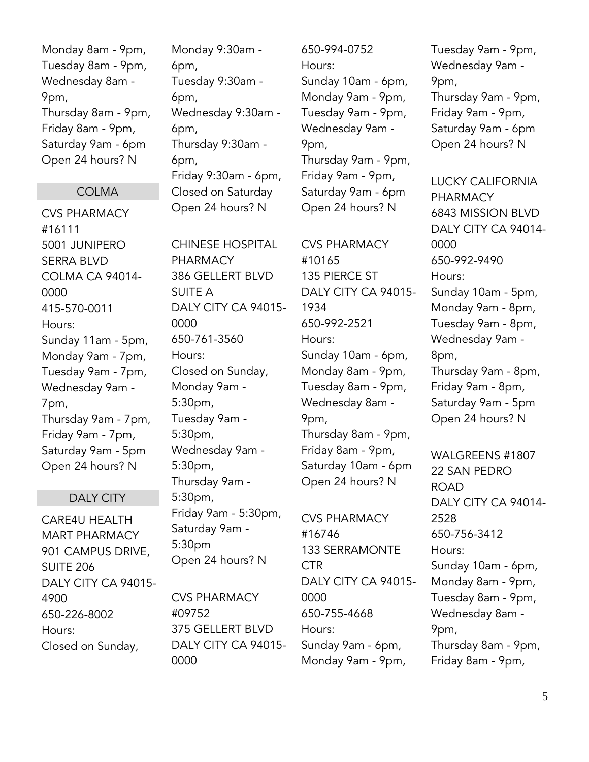Monday 8am - 9pm, Tuesday 8am - 9pm, Wednesday 8am - 9pm, Thursday 8am - 9pm, Friday 8am - 9pm, Saturday 9am - 6pm Open 24 hours? N

#### COLMA

CVS PHARMACY #16111 5001 JUNIPERO SERRA BLVD COLMA CA 94014- 0000 415-570-0011 Hours: Sunday 11am - 5pm, Monday 9am - 7pm, Tuesday 9am - 7pm, Wednesday 9am - 7pm, Thursday 9am - 7pm, Friday 9am - 7pm, Saturday 9am - 5pm Open 24 hours? N

#### DALY CITY

CARE4U HEALTH MART PHARMACY 901 CAMPUS DRIVE, SUITE 206 DALY CITY CA 94015- 4900 650-226-8002 Hours: Closed on Sunday,

Monday 9:30am - 6pm, Tuesday 9:30am - 6pm, Wednesday 9:30am - 6pm, Thursday 9:30am - 6pm, Friday 9:30am - 6pm, Closed on Saturday Open 24 hours? N

CHINESE HOSPITAL PHARMACY 386 GELLERT BLVD SUITE A DALY CITY CA 94015- 0000 650-761-3560 Hours: Closed on Sunday, Monday 9am - 5:30pm, Tuesday 9am - 5:30pm, Wednesday 9am - 5:30pm, Thursday 9am - 5:30pm, Friday 9am - 5:30pm, Saturday 9am - 5:30pm Open 24 hours? N

CVS PHARMACY #09752 375 GELLERT BLVD DALY CITY CA 94015- 0000

650-994-0752 Hours: Sunday 10am - 6pm, Monday 9am - 9pm, Tuesday 9am - 9pm, Wednesday 9am - 9pm, Thursday 9am - 9pm, Friday 9am - 9pm, Saturday 9am - 6pm Open 24 hours? N

CVS PHARMACY #10165 135 PIERCE ST DALY CITY CA 94015- 1934 650-992-2521 Hours: Sunday 10am - 6pm, Monday 8am - 9pm, Tuesday 8am - 9pm, Wednesday 8am - 9pm, Thursday 8am - 9pm, Friday 8am - 9pm, Saturday 10am - 6pm Open 24 hours? N

CVS PHARMACY #16746 133 SERRAMONTE **CTR** DALY CITY CA 94015- 0000 650-755-4668 Hours: Sunday 9am - 6pm, Monday 9am - 9pm,

Tuesday 9am - 9pm, Wednesday 9am - 9pm, Thursday 9am - 9pm, Friday 9am - 9pm, Saturday 9am - 6pm Open 24 hours? N

LUCKY CALIFORNIA PHARMACY 6843 MISSION BLVD DALY CITY CA 94014- 0000 650-992-9490 Hours: Sunday 10am - 5pm, Monday 9am - 8pm, Tuesday 9am - 8pm, Wednesday 9am - 8pm, Thursday 9am - 8pm, Friday 9am - 8pm, Saturday 9am - 5pm Open 24 hours? N

WALGREENS #1807 22 SAN PEDRO ROAD DALY CITY CA 94014- 2528 650-756-3412 Hours: Sunday 10am - 6pm, Monday 8am - 9pm, Tuesday 8am - 9pm, Wednesday 8am - 9pm, Thursday 8am - 9pm, Friday 8am - 9pm,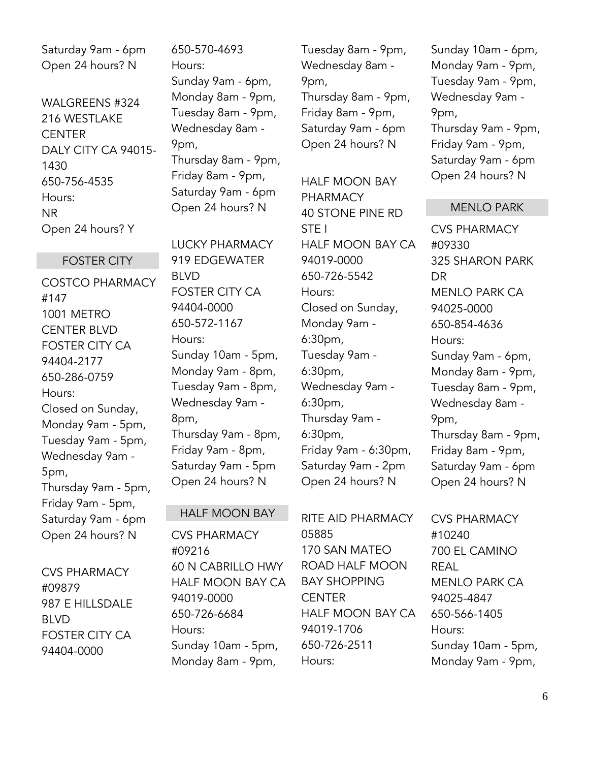Saturday 9am - 6pm Open 24 hours? N

WALGREENS #324 216 WESTLAKE **CENTER** DALY CITY CA 94015- 1430 650-756-4535 Hours: NR Open 24 hours? Y

FOSTER CITY

COSTCO PHARMACY #147 1001 METRO CENTER BLVD FOSTER CITY CA 94404-2177 650-286-0759 Hours: Closed on Sunday, Monday 9am - 5pm, Tuesday 9am - 5pm, Wednesday 9am - 5pm, Thursday 9am - 5pm, Friday 9am - 5pm, Saturday 9am - 6pm Open 24 hours? N

CVS PHARMACY #09879 987 E HILLSDALE BLVD FOSTER CITY CA 94404-0000

650-570-4693 Hours: Sunday 9am - 6pm, Monday 8am - 9pm, Tuesday 8am - 9pm, Wednesday 8am - 9pm, Thursday 8am - 9pm, Friday 8am - 9pm, Saturday 9am - 6pm Open 24 hours? N

LUCKY PHARMACY 919 EDGEWATER BLVD FOSTER CITY CA 94404-0000 650-572-1167 Hours: Sunday 10am - 5pm, Monday 9am - 8pm, Tuesday 9am - 8pm, Wednesday 9am - 8pm, Thursday 9am - 8pm, Friday 9am - 8pm, Saturday 9am - 5pm Open 24 hours? N

#### HALF MOON BAY

CVS PHARMACY #09216 60 N CABRILLO HWY HALF MOON BAY CA 94019-0000 650-726-6684 Hours: Sunday 10am - 5pm, Monday 8am - 9pm,

Tuesday 8am - 9pm, Wednesday 8am - 9pm, Thursday 8am - 9pm, Friday 8am - 9pm, Saturday 9am - 6pm Open 24 hours? N

HALF MOON BAY PHARMACY 40 STONE PINE RD STE I HALF MOON BAY CA 94019-0000 650-726-5542 Hours: Closed on Sunday, Monday 9am - 6:30pm, Tuesday 9am - 6:30pm, Wednesday 9am - 6:30pm, Thursday 9am - 6:30pm, Friday 9am - 6:30pm, Saturday 9am - 2pm Open 24 hours? N

RITE AID PHARMACY 05885 170 SAN MATEO ROAD HALF MOON BAY SHOPPING **CENTER** HALF MOON BAY CA 94019-1706 650-726-2511 Hours:

Sunday 10am - 6pm, Monday 9am - 9pm, Tuesday 9am - 9pm, Wednesday 9am - 9pm, Thursday 9am - 9pm, Friday 9am - 9pm, Saturday 9am - 6pm Open 24 hours? N

#### MENLO PARK

CVS PHARMACY #09330 325 SHARON PARK DR MENLO PARK CA 94025-0000 650-854-4636 Hours: Sunday 9am - 6pm, Monday 8am - 9pm, Tuesday 8am - 9pm, Wednesday 8am - 9pm, Thursday 8am - 9pm, Friday 8am - 9pm, Saturday 9am - 6pm Open 24 hours? N

CVS PHARMACY #10240 700 EL CAMINO REAL MENLO PARK CA 94025-4847 650-566-1405 Hours: Sunday 10am - 5pm, Monday 9am - 9pm,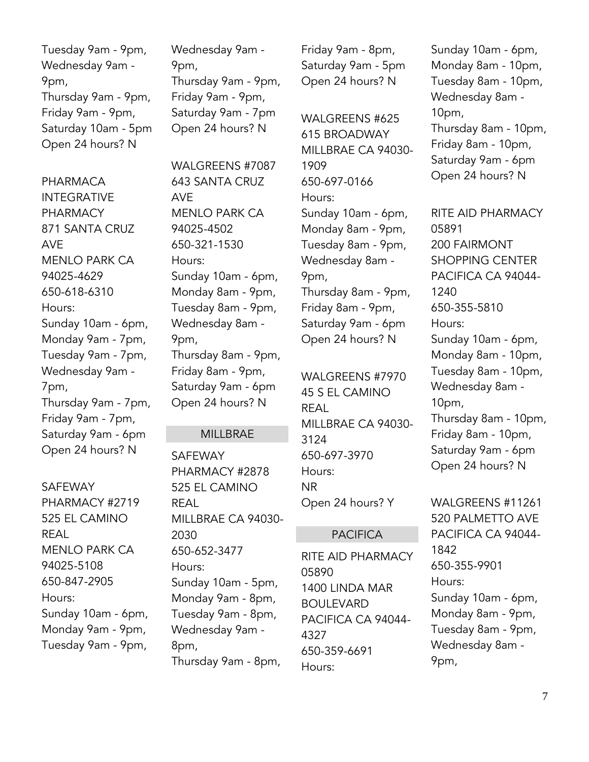Tuesday 9am - 9pm, Wednesday 9am - 9pm, Thursday 9am - 9pm, Friday 9am - 9pm, Saturday 10am - 5pm Open 24 hours? N

PHARMACA INTEGRATIVE PHARMACY 871 SANTA CRUZ AVE MENLO PARK CA 94025-4629 650-618-6310 Hours: Sunday 10am - 6pm, Monday 9am - 7pm, Tuesday 9am - 7pm, Wednesday 9am - 7pm, Thursday 9am - 7pm, Friday 9am - 7pm, Saturday 9am - 6pm Open 24 hours? N

SAFEWAY PHARMACY #2719 525 EL CAMINO REAL MENLO PARK CA 94025-5108 650-847-2905 Hours: Sunday 10am - 6pm, Monday 9am - 9pm, Tuesday 9am - 9pm,

Wednesday 9am - 9pm, Thursday 9am - 9pm, Friday 9am - 9pm, Saturday 9am - 7pm Open 24 hours? N

WALGREENS #7087 643 SANTA CRUZ AVE MENLO PARK CA 94025-4502 650-321-1530 Hours: Sunday 10am - 6pm, Monday 8am - 9pm, Tuesday 8am - 9pm, Wednesday 8am - 9pm, Thursday 8am - 9pm, Friday 8am - 9pm, Saturday 9am - 6pm Open 24 hours? N

#### MILLBRAE

SAFEWAY PHARMACY #2878 525 EL CAMINO REAL MILLBRAE CA 94030- 2030 650-652-3477 Hours: Sunday 10am - 5pm, Monday 9am - 8pm, Tuesday 9am - 8pm, Wednesday 9am - 8pm, Thursday 9am - 8pm,

Friday 9am - 8pm, Saturday 9am - 5pm Open 24 hours? N

WALGREENS #625 615 BROADWAY MILLBRAE CA 94030- 1909 650-697-0166 Hours: Sunday 10am - 6pm, Monday 8am - 9pm, Tuesday 8am - 9pm, Wednesday 8am - 9pm, Thursday 8am - 9pm, Friday 8am - 9pm, Saturday 9am - 6pm Open 24 hours? N

WALGREENS #7970 45 S EL CAMINO REAL MILLBRAE CA 94030- 3124 650-697-3970 Hours: NR

Open 24 hours? Y

#### PACIFICA

RITE AID PHARMACY 05890 1400 LINDA MAR BOULEVARD PACIFICA CA 94044- 4327 650-359-6691 Hours:

Sunday 10am - 6pm, Monday 8am - 10pm, Tuesday 8am - 10pm, Wednesday 8am - 10pm, Thursday 8am - 10pm, Friday 8am - 10pm, Saturday 9am - 6pm Open 24 hours? N

RITE AID PHARMACY 05891 200 FAIRMONT SHOPPING CENTER PACIFICA CA 94044- 1240 650-355-5810 Hours: Sunday 10am - 6pm, Monday 8am - 10pm, Tuesday 8am - 10pm, Wednesday 8am - 10pm, Thursday 8am - 10pm, Friday 8am - 10pm, Saturday 9am - 6pm

Open 24 hours? N WALGREENS #11261 520 PALMETTO AVE PACIFICA CA 94044- 1842 650-355-9901 Hours: Sunday 10am - 6pm, Monday 8am - 9pm, Tuesday 8am - 9pm,

Wednesday 8am -

9pm,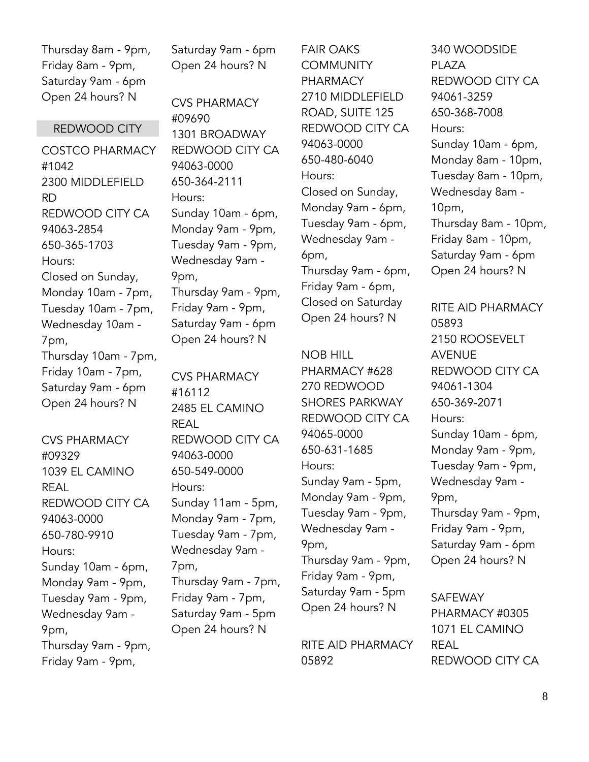Thursday 8am - 9pm, Friday 8am - 9pm, Saturday 9am - 6pm Open 24 hours? N

Saturday 9am - 6pm Open 24 hours? N

REDWOOD CITY

COSTCO PHARMACY #1042 2300 MIDDLEFIELD RD REDWOOD CITY CA 94063-2854 650-365-1703 Hours: Closed on Sunday, Monday 10am - 7pm, Tuesday 10am - 7pm, Wednesday 10am - 7pm, Thursday 10am - 7pm, Friday 10am - 7pm, Saturday 9am - 6pm Open 24 hours? N

CVS PHARMACY #09329 1039 EL CAMINO REAL REDWOOD CITY CA 94063-0000 650-780-9910 Hours: Sunday 10am - 6pm, Monday 9am - 9pm, Tuesday 9am - 9pm, Wednesday 9am - 9pm, Thursday 9am - 9pm, Friday 9am - 9pm,

CVS PHARMACY #09690 1301 BROADWAY REDWOOD CITY CA 94063-0000 650-364-2111 Hours: Sunday 10am - 6pm, Monday 9am - 9pm, Tuesday 9am - 9pm, Wednesday 9am - 9pm, Thursday 9am - 9pm, Friday 9am - 9pm, Saturday 9am - 6pm Open 24 hours? N

CVS PHARMACY #16112 2485 EL CAMINO REAL REDWOOD CITY CA 94063-0000 650-549-0000 Hours: Sunday 11am - 5pm, Monday 9am - 7pm, Tuesday 9am - 7pm, Wednesday 9am - 7pm, Thursday 9am - 7pm, Friday 9am - 7pm, Saturday 9am - 5pm Open 24 hours? N

FAIR OAKS **COMMUNITY PHARMACY** 2710 MIDDLEFIELD ROAD, SUITE 125 REDWOOD CITY CA 94063-0000 650-480-6040 Hours: Closed on Sunday, Monday 9am - 6pm, Tuesday 9am - 6pm, Wednesday 9am - 6pm, Thursday 9am - 6pm, Friday 9am - 6pm, Closed on Saturday Open 24 hours? N

NOB HILL PHARMACY #628 270 REDWOOD SHORES PARKWAY REDWOOD CITY CA 94065-0000 650-631-1685 Hours: Sunday 9am - 5pm, Monday 9am - 9pm, Tuesday 9am - 9pm, Wednesday 9am - 9pm, Thursday 9am - 9pm, Friday 9am - 9pm, Saturday 9am - 5pm Open 24 hours? N

RITE AID PHARMACY 05892

340 WOODSIDE PI A7A REDWOOD CITY CA 94061-3259 650-368-7008 Hours: Sunday 10am - 6pm, Monday 8am - 10pm, Tuesday 8am - 10pm, Wednesday 8am - 10pm, Thursday 8am - 10pm, Friday 8am - 10pm, Saturday 9am - 6pm Open 24 hours? N

RITE AID PHARMACY 05893 2150 ROOSEVELT AVENUE REDWOOD CITY CA 94061-1304 650-369-2071 Hours: Sunday 10am - 6pm, Monday 9am - 9pm, Tuesday 9am - 9pm, Wednesday 9am - 9pm, Thursday 9am - 9pm, Friday 9am - 9pm, Saturday 9am - 6pm Open 24 hours? N

SAFEWAY PHARMACY #0305 1071 EL CAMINO REAL REDWOOD CITY CA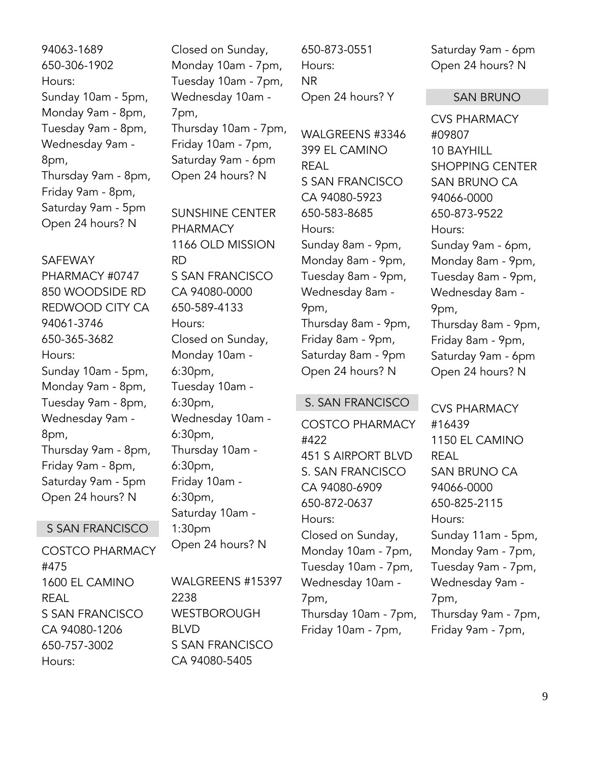94063-1689 650-306-1902 Hours: Sunday 10am - 5pm, Monday 9am - 8pm, Tuesday 9am - 8pm, Wednesday 9am - 8pm, Thursday 9am - 8pm, Friday 9am - 8pm, Saturday 9am - 5pm Open 24 hours? N

### SAFEWAY PHARMACY #0747 850 WOODSIDE RD REDWOOD CITY CA 94061-3746 650-365-3682 Hours: Sunday 10am - 5pm, Monday 9am - 8pm, Tuesday 9am - 8pm, Wednesday 9am - 8pm, Thursday 9am - 8pm, Friday 9am - 8pm, Saturday 9am - 5pm Open 24 hours? N

#### S SAN FRANCISCO

COSTCO PHARMACY #475 1600 EL CAMINO REAL S SAN FRANCISCO CA 94080-1206 650-757-3002 Hours:

Closed on Sunday, Monday 10am - 7pm, Tuesday 10am - 7pm, Wednesday 10am - 7pm, Thursday 10am - 7pm, Friday 10am - 7pm, Saturday 9am - 6pm Open 24 hours? N

SUNSHINE CENTER PHARMACY 1166 OLD MISSION RD S SAN FRANCISCO CA 94080-0000 650-589-4133 Hours: Closed on Sunday, Monday 10am - 6:30pm, Tuesday 10am - 6:30pm, Wednesday 10am - 6:30pm, Thursday 10am - 6:30pm, Friday 10am - 6:30pm, Saturday 10am - 1:30pm Open 24 hours? N

WALGREENS #15397 2238 **WESTBOROUGH** BLVD S SAN FRANCISCO CA 94080-5405

650-873-0551 Hours: NR Open 24 hours? Y

WALGREENS #3346 399 EL CAMINO REAL S SAN FRANCISCO CA 94080-5923 650-583-8685 Hours: Sunday 8am - 9pm, Monday 8am - 9pm, Tuesday 8am - 9pm, Wednesday 8am - 9pm, Thursday 8am - 9pm, Friday 8am - 9pm, Saturday 8am - 9pm Open 24 hours? N

#### S. SAN FRANCISCO

COSTCO PHARMACY #422 451 S AIRPORT BLVD S. SAN FRANCISCO CA 94080-6909 650-872-0637 Hours: Closed on Sunday, Monday 10am - 7pm, Tuesday 10am - 7pm, Wednesday 10am - 7pm, Thursday 10am - 7pm, Friday 10am - 7pm,

Saturday 9am - 6pm Open 24 hours? N

#### SAN BRUNO

CVS PHARMACY #09807 10 BAYHILL SHOPPING CENTER SAN BRUNO CA 94066-0000 650-873-9522 Hours: Sunday 9am - 6pm, Monday 8am - 9pm, Tuesday 8am - 9pm, Wednesday 8am - 9pm, Thursday 8am - 9pm, Friday 8am - 9pm, Saturday 9am - 6pm Open 24 hours? N

CVS PHARMACY #16439 1150 EL CAMINO REAL SAN BRUNO CA 94066-0000 650-825-2115 Hours: Sunday 11am - 5pm, Monday 9am - 7pm, Tuesday 9am - 7pm, Wednesday 9am - 7pm, Thursday 9am - 7pm, Friday 9am - 7pm,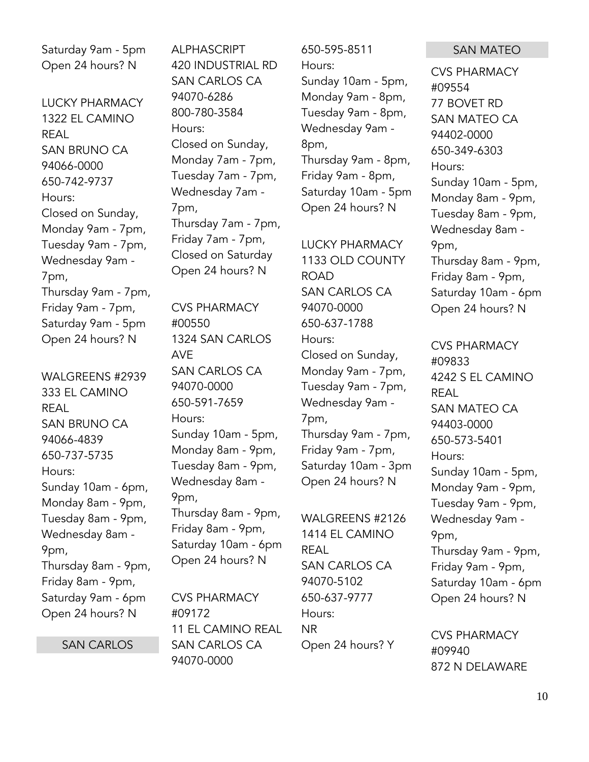Saturday 9am - 5pm Open 24 hours? N

LUCKY PHARMACY 1322 EL CAMINO REAL SAN BRUNO CA 94066-0000 650-742-9737 Hours: Closed on Sunday, Monday 9am - 7pm, Tuesday 9am - 7pm, Wednesday 9am - 7pm, Thursday 9am - 7pm, Friday 9am - 7pm, Saturday 9am - 5pm Open 24 hours? N

WALGREENS #2939 333 EL CAMINO REAL SAN BRUNO CA 94066-4839 650-737-5735 Hours: Sunday 10am - 6pm, Monday 8am - 9pm, Tuesday 8am - 9pm, Wednesday 8am - 9pm, Thursday 8am - 9pm, Friday 8am - 9pm, Saturday 9am - 6pm Open 24 hours? N

SAN CARLOS

ALPHASCRIPT 420 INDUSTRIAL RD SAN CARLOS CA 94070-6286 800-780-3584 Hours: Closed on Sunday, Monday 7am - 7pm, Tuesday 7am - 7pm, Wednesday 7am - 7pm, Thursday 7am - 7pm, Friday 7am - 7pm, Closed on Saturday Open 24 hours? N

CVS PHARMACY #00550 1324 SAN CARLOS AVE SAN CARLOS CA 94070-0000 650-591-7659 Hours: Sunday 10am - 5pm, Monday 8am - 9pm, Tuesday 8am - 9pm, Wednesday 8am - 9pm, Thursday 8am - 9pm, Friday 8am - 9pm, Saturday 10am - 6pm Open 24 hours? N

CVS PHARMACY #09172 11 EL CAMINO REAL SAN CARLOS CA 94070-0000

650-595-8511 Hours: Sunday 10am - 5pm, Monday 9am - 8pm, Tuesday 9am - 8pm, Wednesday 9am - 8pm, Thursday 9am - 8pm, Friday 9am - 8pm, Saturday 10am - 5pm Open 24 hours? N

LUCKY PHARMACY 1133 OLD COUNTY ROAD SAN CARLOS CA 94070-0000 650-637-1788 Hours: Closed on Sunday, Monday 9am - 7pm, Tuesday 9am - 7pm, Wednesday 9am - 7pm, Thursday 9am - 7pm, Friday 9am - 7pm, Saturday 10am - 3pm Open 24 hours? N

WALGREENS #2126 1414 EL CAMINO REAL SAN CARLOS CA 94070-5102 650-637-9777 Hours: NR Open 24 hours? Y

#### SAN MATEO

CVS PHARMACY #09554 77 BOVET RD SAN MATEO CA 94402-0000 650-349-6303 Hours: Sunday 10am - 5pm, Monday 8am - 9pm, Tuesday 8am - 9pm, Wednesday 8am - 9pm, Thursday 8am - 9pm, Friday 8am - 9pm, Saturday 10am - 6pm Open 24 hours? N

CVS PHARMACY #09833 4242 S EL CAMINO REAL SAN MATEO CA 94403-0000 650-573-5401 Hours: Sunday 10am - 5pm, Monday 9am - 9pm, Tuesday 9am - 9pm, Wednesday 9am - 9pm, Thursday 9am - 9pm, Friday 9am - 9pm, Saturday 10am - 6pm Open 24 hours? N

CVS PHARMACY #09940 872 N DELAWARE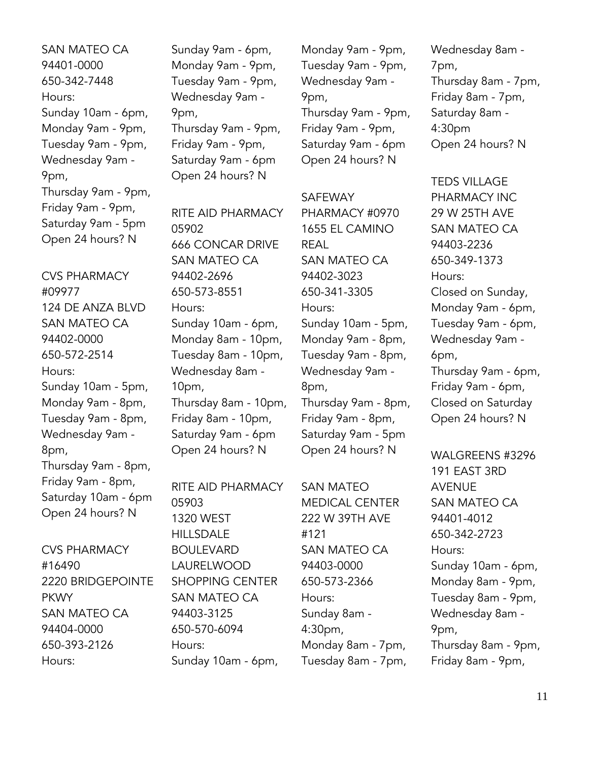SAN MATEO CA 94401-0000 650-342-7448 Hours: Sunday 10am - 6pm, Monday 9am - 9pm, Tuesday 9am - 9pm, Wednesday 9am - 9pm, Thursday 9am - 9pm, Friday 9am - 9pm, Saturday 9am - 5pm Open 24 hours? N

CVS PHARMACY #09977 124 DE ANZA BLVD SAN MATEO CA 94402-0000 650-572-2514 Hours: Sunday 10am - 5pm, Monday 9am - 8pm, Tuesday 9am - 8pm, Wednesday 9am - 8pm, Thursday 9am - 8pm, Friday 9am - 8pm, Saturday 10am - 6pm Open 24 hours? N

CVS PHARMACY #16490 2220 BRIDGEPOINTE PKWY SAN MATEO CA 94404-0000 650-393-2126 Hours:

Sunday 9am - 6pm, Monday 9am - 9pm, Tuesday 9am - 9pm, Wednesday 9am - 9pm, Thursday 9am - 9pm, Friday 9am - 9pm, Saturday 9am - 6pm Open 24 hours? N

RITE AID PHARMACY 05902 666 CONCAR DRIVE SAN MATEO CA 94402-2696 650-573-8551 Hours: Sunday 10am - 6pm, Monday 8am - 10pm, Tuesday 8am - 10pm, Wednesday 8am - 10pm, Thursday 8am - 10pm, Friday 8am - 10pm, Saturday 9am - 6pm Open 24 hours? N

RITE AID PHARMACY 05903 1320 WEST **HILLSDALE** BOULEVARD LAURELWOOD SHOPPING CENTER SAN MATEO CA 94403-3125 650-570-6094 Hours: Sunday 10am - 6pm,

Monday 9am - 9pm, Tuesday 9am - 9pm, Wednesday 9am - 9pm, Thursday 9am - 9pm, Friday 9am - 9pm, Saturday 9am - 6pm Open 24 hours? N

SAFEWAY PHARMACY #0970 1655 EL CAMINO REAL SAN MATEO CA 94402-3023 650-341-3305 Hours: Sunday 10am - 5pm, Monday 9am - 8pm, Tuesday 9am - 8pm, Wednesday 9am - 8pm, Thursday 9am - 8pm, Friday 9am - 8pm, Saturday 9am - 5pm Open 24 hours? N

SAN MATEO MEDICAL CENTER 222 W 39TH AVE #121 SAN MATEO CA 94403-0000 650-573-2366 Hours: Sunday 8am - 4:30pm, Monday 8am - 7pm, Tuesday 8am - 7pm, Wednesday 8am - 7pm, Thursday 8am - 7pm, Friday 8am - 7pm, Saturday 8am - 4:30pm Open 24 hours? N

TEDS VILLAGE PHARMACY INC 29 W 25TH AVE SAN MATEO CA 94403-2236 650-349-1373 Hours: Closed on Sunday, Monday 9am - 6pm, Tuesday 9am - 6pm, Wednesday 9am - 6pm, Thursday 9am - 6pm, Friday 9am - 6pm, Closed on Saturday Open 24 hours? N

WALGREENS #3296 191 EAST 3RD AVENUE SAN MATEO CA 94401-4012 650-342-2723 Hours: Sunday 10am - 6pm, Monday 8am - 9pm, Tuesday 8am - 9pm, Wednesday 8am - 9pm, Thursday 8am - 9pm, Friday 8am - 9pm,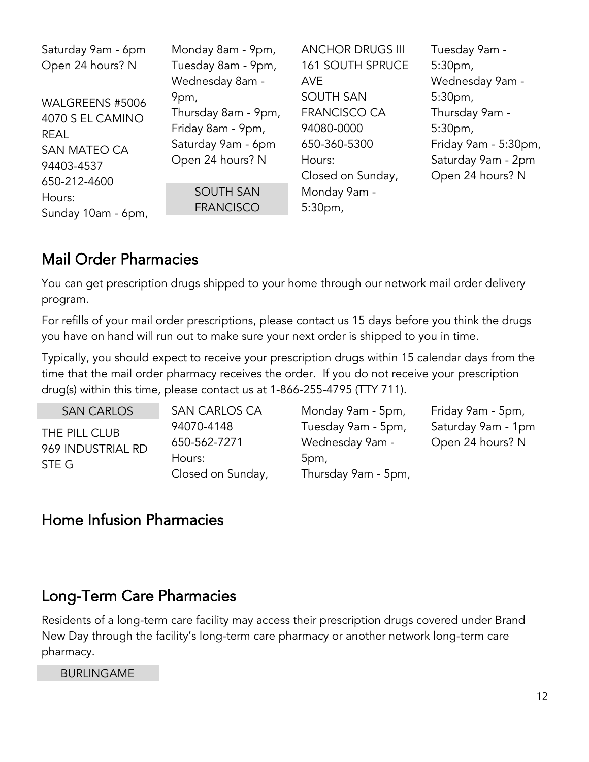| Saturday 9am - 6pm<br>Open 24 hours? N                                                                     | Monday 8am - 9pm,<br>Tuesday 8am - 9pm,                                                                                                               | <b>ANCHOR DRUGS III</b><br><b>161 SOUTH SPRUCE</b>                                                                                                       | Tuesday 9am -<br>5:30 <sub>pm</sub>                                                                                                             |
|------------------------------------------------------------------------------------------------------------|-------------------------------------------------------------------------------------------------------------------------------------------------------|----------------------------------------------------------------------------------------------------------------------------------------------------------|-------------------------------------------------------------------------------------------------------------------------------------------------|
| WALGREENS #5006<br>4070 S EL CAMINO<br><b>REAL</b><br>SAN MATEO CA<br>94403-4537<br>650-212-4600<br>Hours: | Wednesday 8am -<br>9pm,<br>Thursday 8am - 9pm,<br>Friday 8am - 9pm,<br>Saturday 9am - 6pm<br>Open 24 hours? N<br><b>SOUTH SAN</b><br><b>FRANCISCO</b> | <b>AVE</b><br><b>SOUTH SAN</b><br><b>FRANCISCO CA</b><br>94080-0000<br>650-360-5300<br>Hours:<br>Closed on Sunday,<br>Monday 9am -<br>5:30 <sub>pm</sub> | Wednesday 9am -<br>5:30 <sub>pm</sub><br>Thursday 9am -<br>5:30 <sub>pm</sub><br>Friday 9am - 5:30pm,<br>Saturday 9am - 2pm<br>Open 24 hours? N |
| Sunday 10am - 6pm,                                                                                         |                                                                                                                                                       |                                                                                                                                                          |                                                                                                                                                 |

## <span id="page-11-0"></span>Mail Order Pharmacies

You can get prescription drugs shipped to your home through our network mail order delivery program.

For refills of your mail order prescriptions, please contact us 15 days before you think the drugs you have on hand will run out to make sure your next order is shipped to you in time.

Typically, you should expect to receive your prescription drugs within 15 calendar days from the time that the mail order pharmacy receives the order. If you do not receive your prescription drug(s) within this time, please contact us at 1-866-255-4795 (TTY 711).

SAN CARLOS THE PILL CLUB 969 INDUSTRIAL RD STE G

SAN CARLOS CA 94070-4148 650-562-7271 Hours: Closed on Sunday,

Monday 9am - 5pm, Tuesday 9am - 5pm, Wednesday 9am - 5pm, Thursday 9am - 5pm,

Friday 9am - 5pm, Saturday 9am - 1pm Open 24 hours? N

## <span id="page-11-1"></span>Home Infusion Pharmacies

## <span id="page-11-2"></span>Long-Term Care Pharmacies

Residents of a long-term care facility may access their prescription drugs covered under Brand New Day through the facility's long-term care pharmacy or another network long-term care pharmacy.

#### BURLINGAME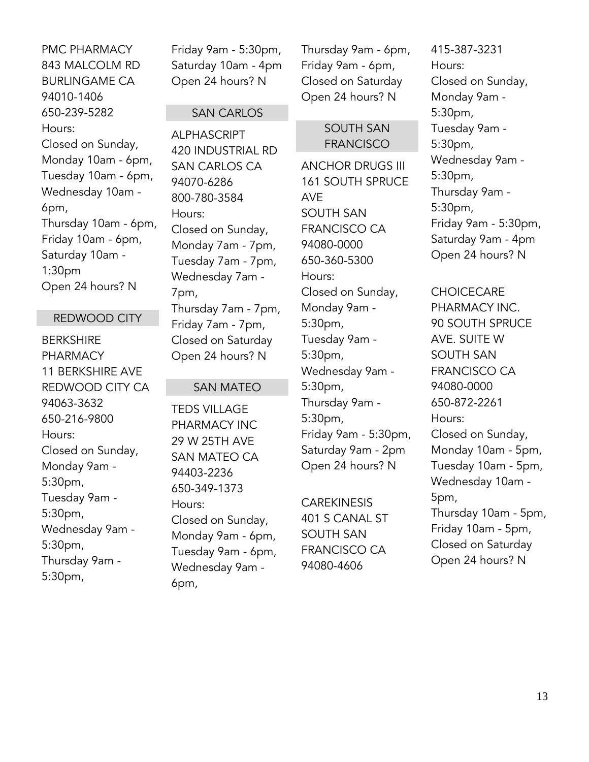PMC PHARMACY 843 MALCOLM RD BURLINGAME CA 94010-1406 650-239-5282 Hours: Closed on Sunday, Monday 10am - 6pm, Tuesday 10am - 6pm, Wednesday 10am - 6pm, Thursday 10am - 6pm, Friday 10am - 6pm, Saturday 10am - 1:30pm Open 24 hours? N

#### REDWOOD CITY

BERKSHIRE PHARMACY 11 BERKSHIRE AVE REDWOOD CITY CA 94063-3632 650-216-9800 Hours: Closed on Sunday, Monday 9am - 5:30pm, Tuesday 9am - 5:30pm, Wednesday 9am - 5:30pm, Thursday 9am - 5:30pm,

Friday 9am - 5:30pm, Saturday 10am - 4pm Open 24 hours? N

#### SAN CARLOS

ALPHASCRIPT 420 INDUSTRIAL RD SAN CARLOS CA 94070-6286 800-780-3584 Hours: Closed on Sunday, Monday 7am - 7pm, Tuesday 7am - 7pm, Wednesday 7am - 7pm, Thursday 7am - 7pm, Friday 7am - 7pm, Closed on Saturday Open 24 hours? N

#### SAN MATEO

TEDS VILLAGE PHARMACY INC 29 W 25TH AVE SAN MATEO CA 94403-2236 650-349-1373 Hours: Closed on Sunday, Monday 9am - 6pm, Tuesday 9am - 6pm, Wednesday 9am - 6pm,

Thursday 9am - 6pm, Friday 9am - 6pm, Closed on Saturday Open 24 hours? N

#### SOUTH SAN FRANCISCO

ANCHOR DRUGS III 161 SOUTH SPRUCE AVE SOUTH SAN FRANCISCO CA 94080-0000 650-360-5300 Hours: Closed on Sunday, Monday 9am - 5:30pm, Tuesday 9am - 5:30pm, Wednesday 9am - 5:30pm, Thursday 9am - 5:30pm, Friday 9am - 5:30pm, Saturday 9am - 2pm Open 24 hours? N

CAREKINESIS 401 S CANAL ST SOUTH SAN FRANCISCO CA 94080-4606

415-387-3231 Hours: Closed on Sunday, Monday 9am - 5:30pm, Tuesday 9am - 5:30pm, Wednesday 9am - 5:30pm, Thursday 9am - 5:30pm, Friday 9am - 5:30pm, Saturday 9am - 4pm Open 24 hours? N

#### **CHOICECARE**

PHARMACY INC. 90 SOUTH SPRUCE AVE. SUITE W SOUTH SAN FRANCISCO CA 94080-0000 650-872-2261 Hours: Closed on Sunday, Monday 10am - 5pm, Tuesday 10am - 5pm, Wednesday 10am - 5pm, Thursday 10am - 5pm, Friday 10am - 5pm, Closed on Saturday Open 24 hours? N